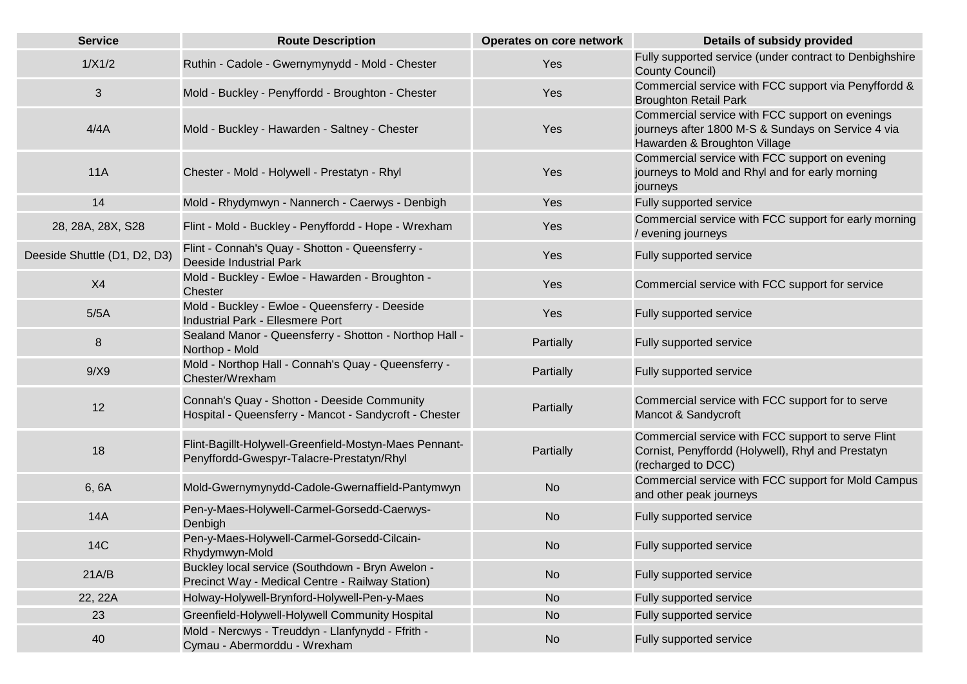| <b>Service</b>               | <b>Route Description</b>                                                                              | Operates on core network | <b>Details of subsidy provided</b>                                                                                                    |
|------------------------------|-------------------------------------------------------------------------------------------------------|--------------------------|---------------------------------------------------------------------------------------------------------------------------------------|
| 1/X1/2                       | Ruthin - Cadole - Gwernymynydd - Mold - Chester                                                       | Yes                      | Fully supported service (under contract to Denbighshire<br>County Council)                                                            |
| $\sqrt{3}$                   | Mold - Buckley - Penyffordd - Broughton - Chester                                                     | Yes                      | Commercial service with FCC support via Penyffordd &<br><b>Broughton Retail Park</b>                                                  |
| 4/4A                         | Mold - Buckley - Hawarden - Saltney - Chester                                                         | Yes                      | Commercial service with FCC support on evenings<br>journeys after 1800 M-S & Sundays on Service 4 via<br>Hawarden & Broughton Village |
| 11A                          | Chester - Mold - Holywell - Prestatyn - Rhyl                                                          | Yes                      | Commercial service with FCC support on evening<br>journeys to Mold and Rhyl and for early morning<br>journeys                         |
| 14                           | Mold - Rhydymwyn - Nannerch - Caerwys - Denbigh                                                       | Yes                      | Fully supported service                                                                                                               |
| 28, 28A, 28X, S28            | Flint - Mold - Buckley - Penyffordd - Hope - Wrexham                                                  | Yes                      | Commercial service with FCC support for early morning<br>/ evening journeys                                                           |
| Deeside Shuttle (D1, D2, D3) | Flint - Connah's Quay - Shotton - Queensferry -<br><b>Deeside Industrial Park</b>                     | Yes                      | Fully supported service                                                                                                               |
| X4                           | Mold - Buckley - Ewloe - Hawarden - Broughton -<br><b>Chester</b>                                     | Yes                      | Commercial service with FCC support for service                                                                                       |
| 5/5A                         | Mold - Buckley - Ewloe - Queensferry - Deeside<br><b>Industrial Park - Ellesmere Port</b>             | Yes                      | Fully supported service                                                                                                               |
| 8                            | Sealand Manor - Queensferry - Shotton - Northop Hall -<br>Northop - Mold                              | Partially                | Fully supported service                                                                                                               |
| 9/X9                         | Mold - Northop Hall - Connah's Quay - Queensferry -<br>Chester/Wrexham                                | Partially                | Fully supported service                                                                                                               |
| 12                           | Connah's Quay - Shotton - Deeside Community<br>Hospital - Queensferry - Mancot - Sandycroft - Chester | Partially                | Commercial service with FCC support for to serve<br>Mancot & Sandycroft                                                               |
| 18                           | Flint-Bagillt-Holywell-Greenfield-Mostyn-Maes Pennant-<br>Penyffordd-Gwespyr-Talacre-Prestatyn/Rhyl   | Partially                | Commercial service with FCC support to serve Flint<br>Cornist, Penyffordd (Holywell), Rhyl and Prestatyn<br>(recharged to DCC)        |
| 6, 6A                        | Mold-Gwernymynydd-Cadole-Gwernaffield-Pantymwyn                                                       | <b>No</b>                | Commercial service with FCC support for Mold Campus<br>and other peak journeys                                                        |
| <b>14A</b>                   | Pen-y-Maes-Holywell-Carmel-Gorsedd-Caerwys-<br>Denbigh                                                | <b>No</b>                | Fully supported service                                                                                                               |
| <b>14C</b>                   | Pen-y-Maes-Holywell-Carmel-Gorsedd-Cilcain-<br>Rhydymwyn-Mold                                         | <b>No</b>                | Fully supported service                                                                                                               |
| 21A/B                        | Buckley local service (Southdown - Bryn Awelon -<br>Precinct Way - Medical Centre - Railway Station)  | <b>No</b>                | Fully supported service                                                                                                               |
| 22, 22A                      | Holway-Holywell-Brynford-Holywell-Pen-y-Maes                                                          | <b>No</b>                | Fully supported service                                                                                                               |
| 23                           | Greenfield-Holywell-Holywell Community Hospital                                                       | <b>No</b>                | Fully supported service                                                                                                               |
| 40                           | Mold - Nercwys - Treuddyn - Llanfynydd - Ffrith -<br>Cymau - Abermorddu - Wrexham                     | <b>No</b>                | Fully supported service                                                                                                               |